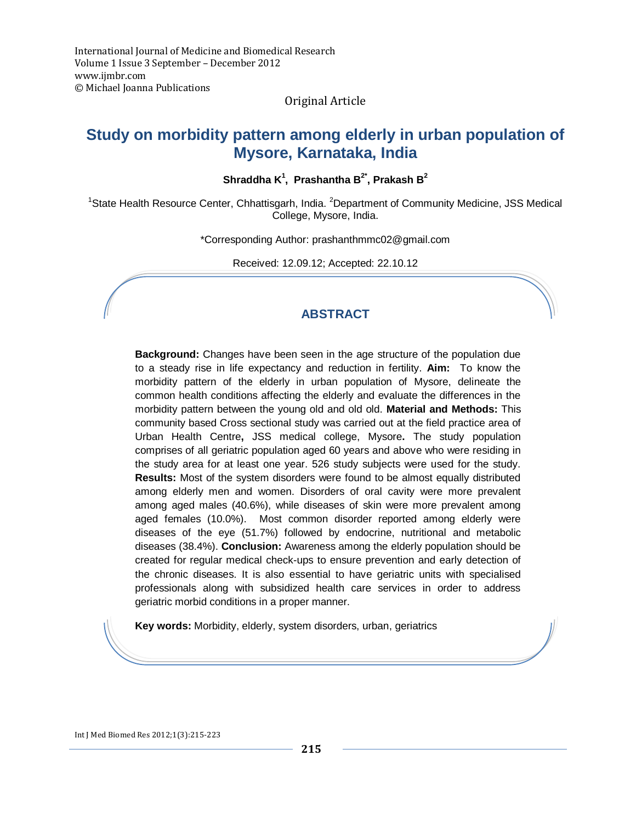### Original Article

# **Study on morbidity pattern among elderly in urban population of Mysore, Karnataka, India**

**Shraddha K<sup>1</sup> , Prashantha B2\* , Prakash B<sup>2</sup>**

<sup>1</sup>State Health Resource Center, Chhattisgarh, India. <sup>2</sup>Department of Community Medicine, JSS Medical College, Mysore, India.

\*Corresponding Author: [prashanthmmc02@gmail.com](mailto:prashanthmmc02@gmail.com)

Received: 12.09.12; Accepted: 22.10.12

# **ABSTRACT**

**Background:** Changes have been seen in the age structure of the population due to a steady rise in life expectancy and reduction in fertility. **Aim:** To know the morbidity pattern of the elderly in urban population of Mysore, delineate the common health conditions affecting the elderly and evaluate the differences in the morbidity pattern between the young old and old old. **Material and Methods:** This community based Cross sectional study was carried out at the field practice area of Urban Health Centre**,** JSS medical college, Mysore**.** The study population comprises of all geriatric population aged 60 years and above who were residing in the study area for at least one year. 526 study subjects were used for the study. **Results:** Most of the system disorders were found to be almost equally distributed among elderly men and women. Disorders of oral cavity were more prevalent among aged males (40.6%), while diseases of skin were more prevalent among aged females (10.0%). Most common disorder reported among elderly were diseases of the eye (51.7%) followed by endocrine, nutritional and metabolic diseases (38.4%). **Conclusion:** Awareness among the elderly population should be created for regular medical check-ups to ensure prevention and early detection of the chronic diseases. It is also essential to have geriatric units with specialised professionals along with subsidized health care services in order to address geriatric morbid conditions in a proper manner.

**Key words:** Morbidity, elderly, system disorders, urban, geriatrics

Int J Med Biomed Res 2012;1(3):215-223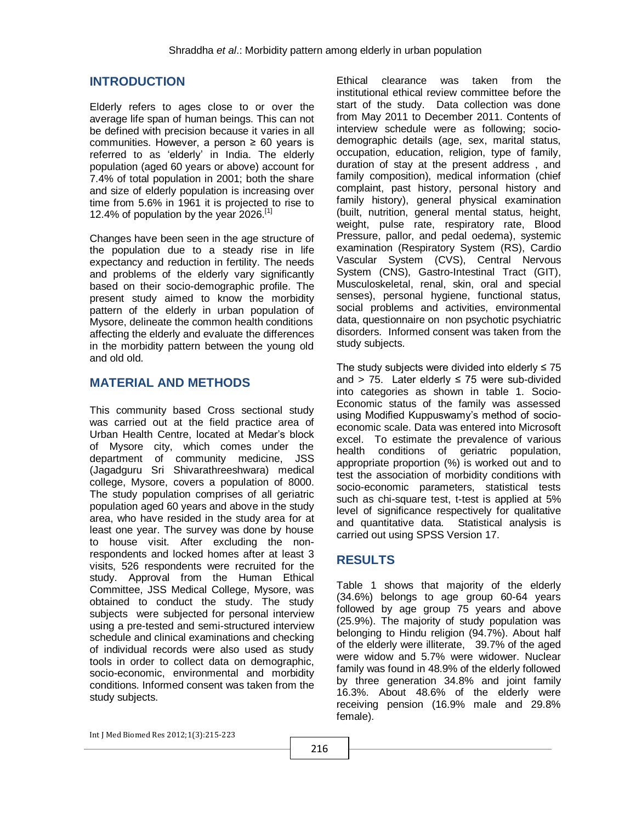### **INTRODUCTION**

Elderly refers to ages close to or over the average life span of human beings. This can not be defined with precision because it varies in all communities. However, a person  $\geq 60$  years is referred to as 'elderly' in India. The elderly population (aged 60 years or above) account for 7.4% of total population in 2001; both the share and size of elderly population is increasing over time from 5.6% in 1961 it is projected to rise to 12.4% of population by the year  $2026$ .<sup>[1]</sup>

Changes have been seen in the age structure of the population due to a steady rise in life expectancy and reduction in fertility. The needs and problems of the elderly vary significantly based on their socio-demographic profile. The present study aimed to know the morbidity pattern of the elderly in urban population of Mysore, delineate the common health conditions affecting the elderly and evaluate the differences in the morbidity pattern between the young old and old old.

### **MATERIAL AND METHODS**

This community based Cross sectional study was carried out at the field practice area of Urban Health Centre, located at Medar's block of Mysore city, which comes under the department of community medicine, JSS (Jagadguru Sri Shivarathreeshwara) medical college, Mysore, covers a population of 8000. The study population comprises of all geriatric population aged 60 years and above in the study area, who have resided in the study area for at least one year. The survey was done by house to house visit. After excluding the nonrespondents and locked homes after at least 3 visits, 526 respondents were recruited for the study. Approval from the Human Ethical Committee, JSS Medical College, Mysore, was obtained to conduct the study. The study subjects were subjected for personal interview using a pre-tested and semi-structured interview schedule and clinical examinations and checking of individual records were also used as study tools in order to collect data on demographic, socio-economic, environmental and morbidity conditions. Informed consent was taken from the study subjects.

Ethical clearance was taken from the institutional ethical review committee before the start of the study. Data collection was done from May 2011 to December 2011. Contents of interview schedule were as following; sociodemographic details (age, sex, marital status, occupation, education, religion, type of family, duration of stay at the present address , and family composition), medical information (chief complaint, past history, personal history and family history), general physical examination (built, nutrition, general mental status, height, weight, pulse rate, respiratory rate, Blood Pressure, pallor, and pedal oedema), systemic examination (Respiratory System (RS), Cardio Vascular System (CVS), Central Nervous System (CNS), Gastro-Intestinal Tract (GIT), Musculoskeletal, renal, skin, oral and special senses), personal hygiene, functional status, social problems and activities, environmental data, questionnaire on non psychotic psychiatric disorders. Informed consent was taken from the study subjects.

The study subjects were divided into elderly  $\leq 75$ and > 75. Later elderly  $\leq$  75 were sub-divided into categories as shown in table 1. Socio-Economic status of the family was assessed using Modified Kuppuswamy's method of socioeconomic scale. Data was entered into Microsoft excel. To estimate the prevalence of various health conditions of geriatric population, appropriate proportion (%) is worked out and to test the association of morbidity conditions with socio-economic parameters, statistical tests such as chi-square test, t-test is applied at 5% level of significance respectively for qualitative and quantitative data. Statistical analysis is carried out using SPSS Version 17.

### **RESULTS**

Table 1 shows that majority of the elderly (34.6%) belongs to age group 60-64 years followed by age group 75 years and above (25.9%). The majority of study population was belonging to Hindu religion (94.7%). About half of the elderly were illiterate, 39.7% of the aged were widow and 5.7% were widower. Nuclear family was found in 48.9% of the elderly followed by three generation 34.8% and joint family 16.3%. About 48.6% of the elderly were receiving pension (16.9% male and 29.8% female).

```
Int J Med Biomed Res 2012;1(3):215-223
```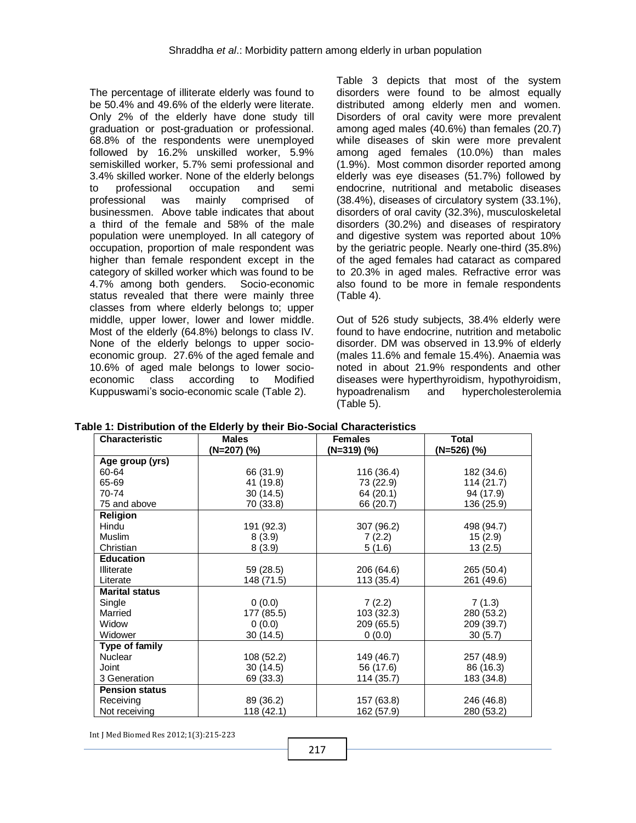The percentage of illiterate elderly was found to be 50.4% and 49.6% of the elderly were literate. Only 2% of the elderly have done study till graduation or post-graduation or professional. 68.8% of the respondents were unemployed followed by 16.2% unskilled worker, 5.9% semiskilled worker, 5.7% semi professional and 3.4% skilled worker. None of the elderly belongs to professional occupation and semi professional was mainly comprised of businessmen.Above table indicates that about a third of the female and 58% of the male population were unemployed. In all category of occupation, proportion of male respondent was higher than female respondent except in the category of skilled worker which was found to be 4.7% among both genders.Socio-economic status revealed that there were mainly three classes from where elderly belongs to; upper middle, upper lower, lower and lower middle. Most of the elderly (64.8%) belongs to class IV. None of the elderly belongs to upper socioeconomic group. 27.6% of the aged female and 10.6% of aged male belongs to lower socioeconomic class according to Modified Kuppuswami's socio-economic scale (Table 2).

Table 3 depicts that most of the system disorders were found to be almost equally distributed among elderly men and women. Disorders of oral cavity were more prevalent among aged males (40.6%) than females (20.7) while diseases of skin were more prevalent among aged females (10.0%) than males (1.9%). Most common disorder reported among elderly was eye diseases (51.7%) followed by endocrine, nutritional and metabolic diseases (38.4%), diseases of circulatory system (33.1%), disorders of oral cavity (32.3%), musculoskeletal disorders (30.2%) and diseases of respiratory and digestive system was reported about 10% by the geriatric people. Nearly one-third (35.8%) of the aged females had cataract as compared to 20.3% in aged males. Refractive error was also found to be more in female respondents (Table 4).

Out of 526 study subjects, 38.4% elderly were found to have endocrine, nutrition and metabolic disorder. DM was observed in 13.9% of elderly (males 11.6% and female 15.4%). Anaemia was noted in about 21.9% respondents and other diseases were hyperthyroidism, hypothyroidism, hypoadrenalism and hypercholesterolemia (Table 5).

| <b>Characteristic</b> | <b>Males</b> | <b>Females</b> | <b>Total</b>  |
|-----------------------|--------------|----------------|---------------|
|                       | (N=207) (%)  | $(N=319)$ (%)  | $(N=526)$ (%) |
| Age group (yrs)       |              |                |               |
| 60-64                 | 66 (31.9)    | 116 (36.4)     | 182 (34.6)    |
| 65-69                 | 41 (19.8)    | 73 (22.9)      | 114(21.7)     |
| 70-74                 | 30(14.5)     | 64 (20.1)      | 94 (17.9)     |
| 75 and above          | 70 (33.8)    | 66 (20.7)      | 136 (25.9)    |
| Religion              |              |                |               |
| Hindu                 | 191 (92.3)   | 307 (96.2)     | 498 (94.7)    |
| <b>Muslim</b>         | 8(3.9)       | 7(2.2)         | 15(2.9)       |
| Christian             | 8(3.9)       | 5(1.6)         | 13(2.5)       |
| <b>Education</b>      |              |                |               |
| Illiterate            | 59 (28.5)    | 206 (64.6)     | 265 (50.4)    |
| Literate              | 148 (71.5)   | 113 (35.4)     | 261 (49.6)    |
| <b>Marital status</b> |              |                |               |
| Single                | 0(0.0)       | 7(2.2)         | 7(1.3)        |
| Married               | 177 (85.5)   | 103 (32.3)     | 280 (53.2)    |
| Widow                 | 0(0.0)       | 209 (65.5)     | 209 (39.7)    |
| Widower               | 30(14.5)     | 0(0.0)         | 30(5.7)       |
| Type of family        |              |                |               |
| <b>Nuclear</b>        | 108 (52.2)   | 149 (46.7)     | 257 (48.9)    |
| Joint                 | 30(14.5)     | 56 (17.6)      | 86 (16.3)     |
| 3 Generation          | 69 (33.3)    | 114 (35.7)     | 183 (34.8)    |
| <b>Pension status</b> |              |                |               |
| Receiving             | 89 (36.2)    | 157 (63.8)     | 246 (46.8)    |
| Not receiving         | 118(42.1)    | 162 (57.9)     | 280 (53.2)    |

**Table 1: Distribution of the Elderly by their Bio-Social Characteristics**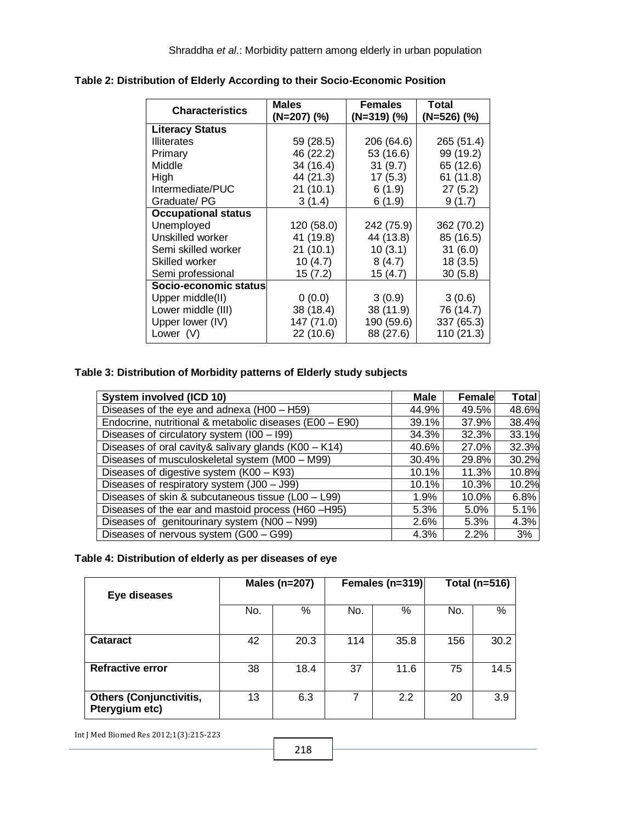| <b>Characteristics</b>     | <b>Males</b> | <b>Females</b> | <b>Total</b> |
|----------------------------|--------------|----------------|--------------|
|                            | (N=207) (%)  | $(N=319)$ (%)  | (N=526) (%)  |
| <b>Literacy Status</b>     |              |                |              |
| <b>Illiterates</b>         | 59 (28.5)    | 206 (64.6)     | 265 (51.4)   |
| Primary                    | 46 (22.2)    | 53 (16.6)      | 99 (19.2)    |
| Middle                     | 34 (16.4)    | 31(9.7)        | 65 (12.6)    |
| High                       | 44 (21.3)    | 17(5.3)        | 61(11.8)     |
| Intermediate/PUC           | 21(10.1)     | 6(1.9)         | 27(5.2)      |
| Graduate/ PG               | 3(1.4)       | 6(1.9)         | 9(1.7)       |
| <b>Occupational status</b> |              |                |              |
| Unemployed                 | 120 (58.0)   | 242 (75.9)     | 362 (70.2)   |
| Unskilled worker           | 41 (19.8)    | 44 (13.8)      | 85 (16.5)    |
| Semi skilled worker        | 21(10.1)     | 10(3.1)        | 31(6.0)      |
| Skilled worker             | 10(4.7)      | 8(4.7)         | 18(3.5)      |
| Semi professional          | 15 (7.2)     | 15 (4.7)       | 30(5.8)      |
| Socio-economic status      |              |                |              |
| Upper middle(II)           | 0(0.0)       | 3(0.9)         | 3(0.6)       |
| Lower middle (III)         | 38 (18.4)    | 38 (11.9)      | 76 (14.7)    |
| Upper lower (IV)           | 147 (71.0)   | 190 (59.6)     | 337 (65.3)   |
| Lower $(V)$                | 22(10.6)     | 88 (27.6)      | 110 (21.3)   |

**Table 2: Distribution of Elderly According to their Socio-Economic Position**

### **Table 3: Distribution of Morbidity patterns of Elderly study subjects**

| System involved (ICD 10)                                | Male  | <b>Female</b> | Total |
|---------------------------------------------------------|-------|---------------|-------|
| Diseases of the eye and adnexa (H00 - H59)              | 44.9% | 49.5%         | 48.6% |
| Endocrine, nutritional & metabolic diseases (E00 - E90) | 39.1% | 37.9%         | 38.4% |
| Diseases of circulatory system (I00 - I99)              | 34.3% | 32.3%         | 33.1% |
| Diseases of oral cavity& salivary glands (K00 - K14)    | 40.6% | 27.0%         | 32.3% |
| Diseases of musculoskeletal system (M00 - M99)          | 30.4% | 29.8%         | 30.2% |
| Diseases of digestive system (K00 – K93)                | 10.1% | 11.3%         | 10.8% |
| Diseases of respiratory system (J00 - J99)              | 10.1% | 10.3%         | 10.2% |
| Diseases of skin & subcutaneous tissue (L00 - L99)      | 1.9%  | 10.0%         | 6.8%  |
| Diseases of the ear and mastoid process (H60 -H95)      | 5.3%  | 5.0%          | 5.1%  |
| Diseases of genitourinary system (N00 - N99)            | 2.6%  | 5.3%          | 4.3%  |
| Diseases of nervous system (G00 - G99)                  | 4.3%  | 2.2%          | 3%    |

# **Table 4: Distribution of elderly as per diseases of eye**

| Eye diseases                                     |     | Males (n=207) |     | Females (n=319) |     | Total (n=516) |  |
|--------------------------------------------------|-----|---------------|-----|-----------------|-----|---------------|--|
|                                                  | No. | %             | No. | %               | No. | %             |  |
| <b>Cataract</b>                                  | 42  | 20.3          | 114 | 35.8            | 156 | 30.2          |  |
| <b>Refractive error</b>                          | 38  | 18.4          | 37  | 11.6            | 75  | 14.5          |  |
| <b>Others (Conjunctivitis,</b><br>Pterygium etc) | 13  | 6.3           |     | 2.2             | 20  | 3.9           |  |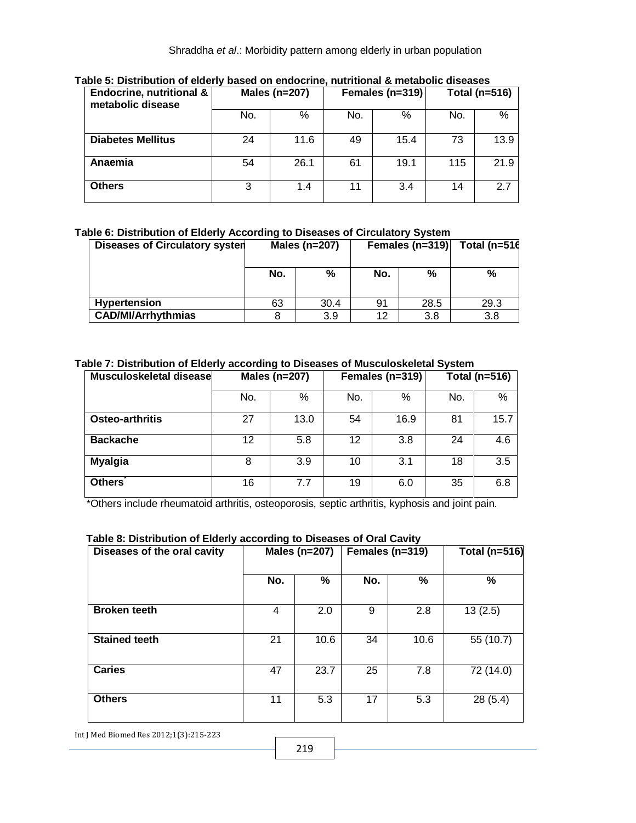| <b>Endocrine, nutritional &amp;</b><br>metabolic disease | Males (n=207)<br>Females (n=319) |      | Total (n=516) |      |     |      |
|----------------------------------------------------------|----------------------------------|------|---------------|------|-----|------|
|                                                          | No.                              | %    | No.           | %    | No. | %    |
| <b>Diabetes Mellitus</b>                                 | 24                               | 11.6 | 49            | 15.4 | 73  | 13.9 |
| Anaemia                                                  | 54                               | 26.1 | 61            | 19.1 | 115 | 21.9 |
| <b>Others</b>                                            | 3                                | 1.4  | 11            | 3.4  | 14  | 2.7  |

#### **Table 5: Distribution of elderly based on endocrine, nutritional & metabolic diseases**

### **Table 6: Distribution of Elderly According to Diseases of Circulatory System**

| <b>Diseases of Circulatory systen</b> | Males (n=207) |      |     | Females (n=319) | Total ( $n=516$ |  |
|---------------------------------------|---------------|------|-----|-----------------|-----------------|--|
|                                       | No.           | %    | No. | %               | %               |  |
| <b>Hypertension</b>                   | 63            | 30.4 | 91  | 28.5            | 29.3            |  |
| <b>CAD/MI/Arrhythmias</b>             |               | 3.9  | 12  | 3.8             | 3.8             |  |

#### **Table 7: Distribution of Elderly according to Diseases of Musculoskeletal System**

| Musculoskeletal disease | Males (n=207) |      |     | Females (n=319) | Total (n=516) |      |
|-------------------------|---------------|------|-----|-----------------|---------------|------|
|                         | No.           | %    | No. | %               | No.           | %    |
| <b>Osteo-arthritis</b>  | 27            | 13.0 | 54  | 16.9            | 81            | 15.7 |
| <b>Backache</b>         | 12            | 5.8  | 12  | 3.8             | 24            | 4.6  |
| <b>Myalgia</b>          | 8             | 3.9  | 10  | 3.1             | 18            | 3.5  |
| <b>Others</b>           | 16            | 7.7  | 19  | 6.0             | 35            | 6.8  |

\*Others include rheumatoid arthritis, osteoporosis, septic arthritis, kyphosis and joint pain.

#### **Table 8: Distribution of Elderly according to Diseases of Oral Cavity**

| Diseases of the oral cavity | Males (n=207) |      | Females (n=319) |      | <b>Total (n=516)</b> |  |
|-----------------------------|---------------|------|-----------------|------|----------------------|--|
|                             | No.           | %    | No.             | %    | %                    |  |
| <b>Broken teeth</b>         | 4             | 2.0  | 9               | 2.8  | 13(2.5)              |  |
| <b>Stained teeth</b>        | 21            | 10.6 | 34              | 10.6 | 55 (10.7)            |  |
| <b>Caries</b>               | 47            | 23.7 | 25              | 7.8  | 72 (14.0)            |  |
| <b>Others</b>               | 11            | 5.3  | 17              | 5.3  | 28(5.4)              |  |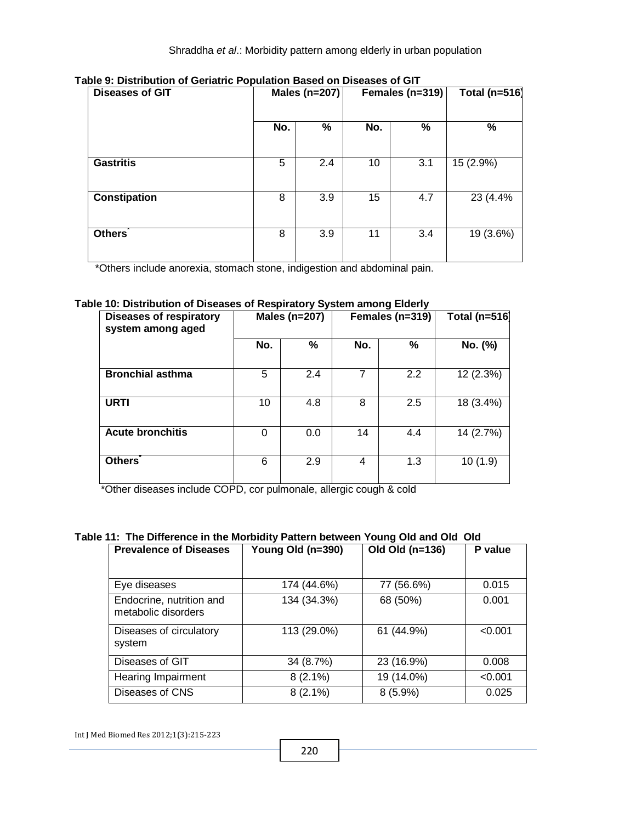| <b>Diseases of GIT</b> | Males (n=207) |     |     | Females (n=319) | <b>Total (n=516)</b> |  |
|------------------------|---------------|-----|-----|-----------------|----------------------|--|
|                        | No.           | %   | No. | %               | %                    |  |
| <b>Gastritis</b>       | 5             | 2.4 | 10  | 3.1             | 15 (2.9%)            |  |
| <b>Constipation</b>    | 8             | 3.9 | 15  | 4.7             | 23 (4.4%             |  |
| <b>Others</b>          | 8             | 3.9 | 11  | 3.4             | 19 (3.6%)            |  |

**Table 9: Distribution of Geriatric Population Based on Diseases of GIT**

\*Others include anorexia, stomach stone, indigestion and abdominal pain.

#### **Table 10: Distribution of Diseases of Respiratory System among Elderly**

| <b>Diseases of respiratory</b><br>system among aged |     | Males (n=207) |     | Females (n=319) | <b>Total (n=516)</b> |  |
|-----------------------------------------------------|-----|---------------|-----|-----------------|----------------------|--|
|                                                     | No. | %             | No. | %               | No. (%)              |  |
| <b>Bronchial asthma</b>                             | 5   | 2.4           | 7   | 2.2             | 12 (2.3%)            |  |
| <b>URTI</b>                                         | 10  | 4.8           | 8   | 2.5             | 18 (3.4%)            |  |
| <b>Acute bronchitis</b>                             | 0   | 0.0           | 14  | 4.4             | 14 (2.7%)            |  |
| <b>Others</b>                                       | 6   | 2.9           | 4   | 1.3             | 10(1.9)              |  |

\*Other diseases include COPD, cor pulmonale, allergic cough & cold

#### **Table 11: The Difference in the Morbidity Pattern between Young Old and Old Old**

| <b>Prevalence of Diseases</b>                   | Young Old (n=390) | Old Old (n=136) | P value |
|-------------------------------------------------|-------------------|-----------------|---------|
|                                                 |                   |                 |         |
| Eye diseases                                    | 174 (44.6%)       | 77 (56.6%)      | 0.015   |
| Endocrine, nutrition and<br>metabolic disorders | 134 (34.3%)       | 68 (50%)        | 0.001   |
| Diseases of circulatory<br>system               | 113 (29.0%)       | 61 (44.9%)      | < 0.001 |
| Diseases of GIT                                 | 34 (8.7%)         | 23 (16.9%)      | 0.008   |
| <b>Hearing Impairment</b>                       | $8(2.1\%)$        | 19 (14.0%)      | < 0.001 |
| Diseases of CNS                                 | $8(2.1\%)$        | $8(5.9\%)$      | 0.025   |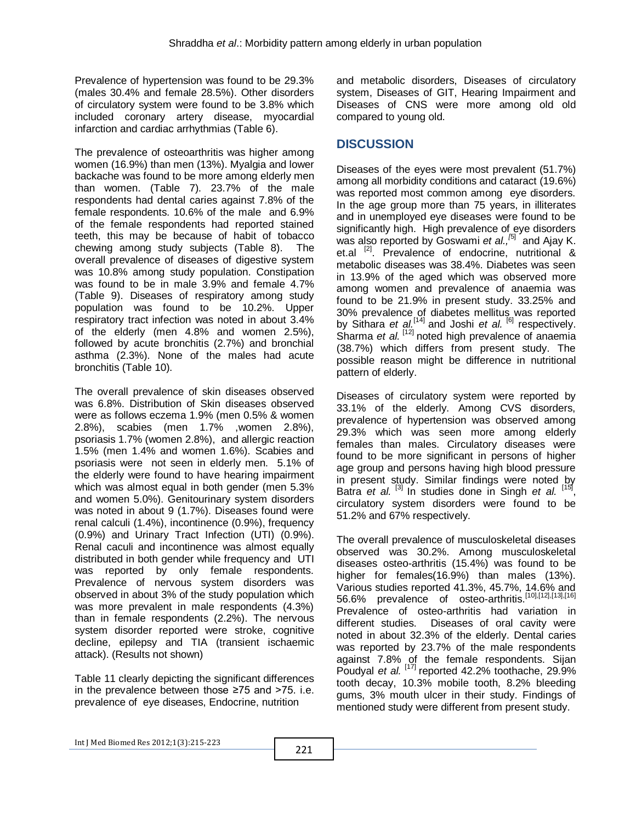Prevalence of hypertension was found to be 29.3% (males 30.4% and female 28.5%). Other disorders of circulatory system were found to be 3.8% which included coronary artery disease, myocardial infarction and cardiac arrhythmias (Table 6).

The prevalence of osteoarthritis was higher among women (16.9%) than men (13%). Myalgia and lower backache was found to be more among elderly men than women. (Table 7). 23.7% of the male respondents had dental caries against 7.8% of the female respondents. 10.6% of the male and 6.9% of the female respondents had reported stained teeth, this may be because of habit of tobacco chewing among study subjects (Table 8). The overall prevalence of diseases of digestive system was 10.8% among study population. Constipation was found to be in male 3.9% and female 4.7% (Table 9). Diseases of respiratory among study population was found to be 10.2%. Upper respiratory tract infection was noted in about 3.4% of the elderly (men 4.8% and women 2.5%), followed by acute bronchitis (2.7%) and bronchial asthma (2.3%). None of the males had acute bronchitis (Table 10).

The overall prevalence of skin diseases observed was 6.8%. Distribution of Skin diseases observed were as follows eczema 1.9% (men 0.5% & women 2.8%), scabies (men 1.7% ,women 2.8%), psoriasis 1.7% (women 2.8%), and allergic reaction 1.5% (men 1.4% and women 1.6%). Scabies and psoriasis were not seen in elderly men. 5.1% of the elderly were found to have hearing impairment which was almost equal in both gender (men 5.3% and women 5.0%). Genitourinary system disorders was noted in about 9 (1.7%). Diseases found were renal calculi (1.4%), incontinence (0.9%), frequency (0.9%) and Urinary Tract Infection (UTI) (0.9%). Renal caculi and incontinence was almost equally distributed in both gender while frequency and UTI was reported by only female respondents. Prevalence of nervous system disorders was observed in about 3% of the study population which was more prevalent in male respondents (4.3%) than in female respondents (2.2%). The nervous system disorder reported were stroke, cognitive decline, epilepsy and TIA (transient ischaemic attack). (Results not shown)

Table 11 clearly depicting the significant differences in the prevalence between those ≥75 and >75. i.e. prevalence of eye diseases, Endocrine, nutrition

and metabolic disorders, Diseases of circulatory system, Diseases of GIT, Hearing Impairment and Diseases of CNS were more among old old compared to young old.

# **DISCUSSION**

Diseases of the eyes were most prevalent (51.7%) among all morbidity conditions and cataract (19.6%) was reported most common among eye disorders. In the age group more than 75 years, in illiterates and in unemployed eye diseases were found to be significantly high. High prevalence of eye disorders was also reported by Goswami *et al.,<sup>[5]</sup>* and Ajay K. et.al <sup>[2]</sup>. Prevalence of endocrine, nutritional & metabolic diseases was 38.4%. Diabetes was seen in 13.9% of the aged which was observed more among women and prevalence of anaemia was found to be 21.9% in present study. 33.25% and 30% prevalence of diabetes mellitus was reported by Sithara *et al.* [14] and Joshi *et al.* [6] respectively. Sharma *et al.*<sup>[12]</sup> noted high prevalence of anaemia (38.7%) which differs from present study. The possible reason might be difference in nutritional pattern of elderly.

Diseases of circulatory system were reported by 33.1% of the elderly. Among CVS disorders, prevalence of hypertension was observed among 29.3% which was seen more among elderly females than males. Circulatory diseases were found to be more significant in persons of higher age group and persons having high blood pressure in present study. Similar findings were noted by Batra *et al.*<sup>[3]</sup> In studies done in Singh *et al.*<sup>[15]</sup>, circulatory system disorders were found to be 51.2% and 67% respectively.

The overall prevalence of musculoskeletal diseases observed was 30.2%. Among musculoskeletal diseases osteo-arthritis (15.4%) was found to be higher for females(16.9%) than males (13%). Various studies reported 41.3%, 45.7%, 14.6% and 56.6% prevalence of osteo-arthritis.[10],[12],[13],[16] Prevalence of osteo-arthritis had variation in different studies. Diseases of oral cavity were noted in about 32.3% of the elderly. Dental caries was reported by 23.7% of the male respondents against 7.8% of the female respondents. Sijan Poudyal *et al.* [17] reported 42.2% toothache, 29.9% tooth decay, 10.3% mobile tooth, 8.2% bleeding gums, 3% mouth ulcer in their study. Findings of mentioned study were different from present study.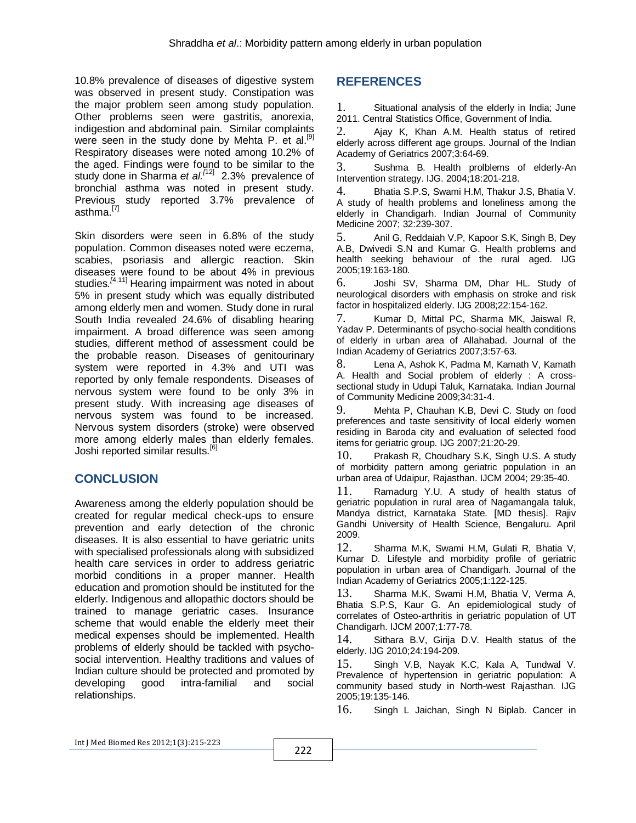10.8% prevalence of diseases of digestive system was observed in present study. Constipation was the major problem seen among study population. Other problems seen were gastritis, anorexia, indigestion and abdominal pain. Similar complaints were seen in the study done by Mehta P. et al.<sup>[9]</sup> Respiratory diseases were noted among 10.2% of the aged. Findings were found to be similar to the study done in Sharma *et al. [*12] 2.3% prevalence of bronchial asthma was noted in present study. Previous study reported 3.7% prevalence of asthma.<sup>[7]</sup>

Skin disorders were seen in 6.8% of the study population. Common diseases noted were eczema, scabies, psoriasis and allergic reaction. Skin diseases were found to be about 4% in previous studies*. [*4,11] Hearing impairment was noted in about 5% in present study which was equally distributed among elderly men and women. Study done in rural South India revealed 24.6% of disabling hearing impairment. A broad difference was seen among studies, different method of assessment could be the probable reason. Diseases of genitourinary system were reported in 4.3% and UTI was reported by only female respondents. Diseases of nervous system were found to be only 3% in present study. With increasing age diseases of nervous system was found to be increased. Nervous system disorders (stroke) were observed more among elderly males than elderly females. Joshi reported similar results.<sup>[6]</sup>

# **CONCLUSION**

Awareness among the elderly population should be created for regular medical check-ups to ensure prevention and early detection of the chronic diseases. It is also essential to have geriatric units with specialised professionals along with subsidized health care services in order to address geriatric morbid conditions in a proper manner. Health education and promotion should be instituted for the elderly. Indigenous and allopathic doctors should be trained to manage geriatric cases. Insurance scheme that would enable the elderly meet their medical expenses should be implemented. Health problems of elderly should be tackled with psychosocial intervention. Healthy traditions and values of Indian culture should be protected and promoted by developing good intra-familial and social relationships.

# **REFERENCES**

1. Situational analysis of the elderly in India; June 2011. Central Statistics Office, Government of India.

2. Ajay K, Khan A.M. Health status of retired elderly across different age groups. Journal of the Indian Academy of Geriatrics 2007;3:64-69.

3. Sushma B. Health prolblems of elderly-An Intervention strategy. IJG. 2004;18:201-218.

4. Bhatia S.P.S, Swami H.M, Thakur J.S, Bhatia V. A study of health problems and loneliness among the elderly in Chandigarh. Indian Journal of Community Medicine 2007; 32:239-307.

5. Anil G, Reddaiah V.P, Kapoor S.K, Singh B, Dey A.B, Dwivedi S.N and Kumar G. Health problems and health seeking behaviour of the rural aged. IJG 2005;19:163-180.

6. Joshi SV, Sharma DM, Dhar HL. Study of neurological disorders with emphasis on stroke and risk factor in hospitalized elderly. IJG 2008;22:154-162.

7. Kumar D, Mittal PC, Sharma MK, Jaiswal R, Yadav P. Determinants of psycho-social health conditions of elderly in urban area of Allahabad. Journal of the Indian Academy of Geriatrics 2007;3:57-63.

8. Lena A, Ashok K, Padma M, Kamath V, Kamath A. Health and Social problem of elderly : A crosssectional study in Udupi Taluk, Karnataka. Indian Journal of Community Medicine 2009;34:31-4.

9. Mehta P, Chauhan K.B, Devi C. Study on food preferences and taste sensitivity of local elderly women residing in Baroda city and evaluation of selected food items for geriatric group. IJG 2007;21:20-29.

10. Prakash R, Choudhary S.K, Singh U.S. A study of morbidity pattern among geriatric population in an urban area of Udaipur, Rajasthan. IJCM 2004; 29:35-40.

11. Ramadurg Y.U. A study of health status of geriatric population in rural area of Nagamangala taluk, Mandya district, Karnataka State. [MD thesis]. Rajiv Gandhi University of Health Science, Bengaluru. April 2009.

12. Sharma M.K, Swami H.M, Gulati R, Bhatia V, Kumar D. Lifestyle and morbidity profile of geriatric population in urban area of Chandigarh. Journal of the Indian Academy of Geriatrics 2005;1:122-125.

13. Sharma M.K, Swami H.M, Bhatia V, Verma A, Bhatia S.P.S, Kaur G. An epidemiological study of correlates of Osteo-arthritis in geriatric population of UT Chandigarh. IJCM 2007;1:77-78.

14. Sithara B.V, Girija D.V. Health status of the elderly. IJG 2010;24:194-209.

15. Singh V.B, Nayak K.C, Kala A, Tundwal V. Prevalence of hypertension in geriatric population: A community based study in North-west Rajasthan. IJG 2005;19:135-146.

16. Singh L Jaichan, Singh N Biplab. Cancer in